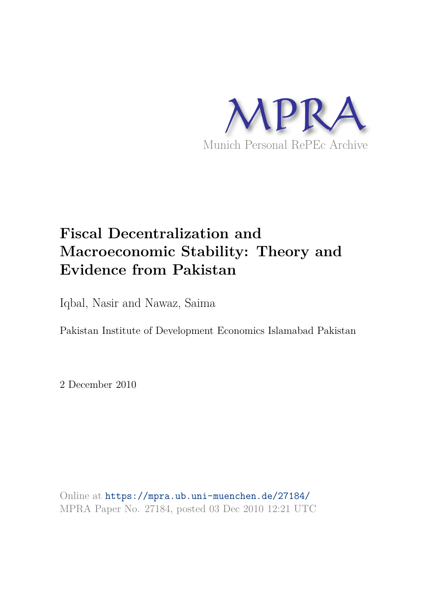

# **Fiscal Decentralization and Macroeconomic Stability: Theory and Evidence from Pakistan**

Iqbal, Nasir and Nawaz, Saima

Pakistan Institute of Development Economics Islamabad Pakistan

2 December 2010

Online at https://mpra.ub.uni-muenchen.de/27184/ MPRA Paper No. 27184, posted 03 Dec 2010 12:21 UTC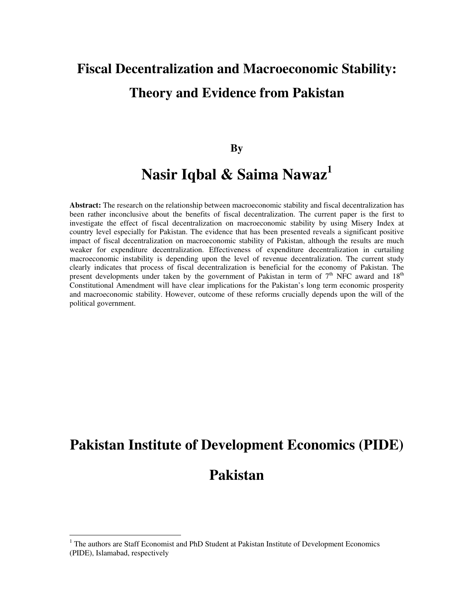# **Fiscal Decentralization and Macroeconomic Stability: Theory and Evidence from Pakistan**

#### **By**

## **Nasir Iqbal & Saima Nawaz<sup>1</sup>**

**Abstract:** The research on the relationship between macroeconomic stability and fiscal decentralization has been rather inconclusive about the benefits of fiscal decentralization. The current paper is the first to investigate the effect of fiscal decentralization on macroeconomic stability by using Misery Index at country level especially for Pakistan. The evidence that has been presented reveals a significant positive impact of fiscal decentralization on macroeconomic stability of Pakistan, although the results are much weaker for expenditure decentralization. Effectiveness of expenditure decentralization in curtailing macroeconomic instability is depending upon the level of revenue decentralization. The current study clearly indicates that process of fiscal decentralization is beneficial for the economy of Pakistan. The present developments under taken by the government of Pakistan in term of  $7<sup>th</sup>$  NFC award and  $18<sup>th</sup>$ Constitutional Amendment will have clear implications for the Pakistan's long term economic prosperity and macroeconomic stability. However, outcome of these reforms crucially depends upon the will of the political government.

## **Pakistan Institute of Development Economics (PIDE)**

## **Pakistan**

 $\overline{a}$ 

<sup>&</sup>lt;sup>1</sup> The authors are Staff Economist and PhD Student at Pakistan Institute of Development Economics (PIDE), Islamabad, respectively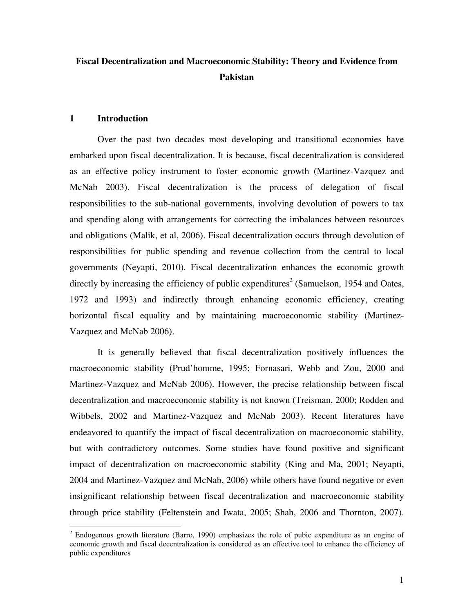### **Fiscal Decentralization and Macroeconomic Stability: Theory and Evidence from Pakistan**

#### **1 Introduction**

 $\overline{a}$ 

Over the past two decades most developing and transitional economies have embarked upon fiscal decentralization. It is because, fiscal decentralization is considered as an effective policy instrument to foster economic growth (Martinez-Vazquez and McNab 2003). Fiscal decentralization is the process of delegation of fiscal responsibilities to the sub-national governments, involving devolution of powers to tax and spending along with arrangements for correcting the imbalances between resources and obligations (Malik, et al, 2006). Fiscal decentralization occurs through devolution of responsibilities for public spending and revenue collection from the central to local governments (Neyapti, 2010). Fiscal decentralization enhances the economic growth directly by increasing the efficiency of public expenditures<sup>2</sup> (Samuelson, 1954 and Oates, 1972 and 1993) and indirectly through enhancing economic efficiency, creating horizontal fiscal equality and by maintaining macroeconomic stability (Martinez-Vazquez and McNab 2006).

It is generally believed that fiscal decentralization positively influences the macroeconomic stability (Prud'homme, 1995; Fornasari, Webb and Zou, 2000 and Martinez-Vazquez and McNab 2006). However, the precise relationship between fiscal decentralization and macroeconomic stability is not known (Treisman, 2000; Rodden and Wibbels, 2002 and Martinez-Vazquez and McNab 2003). Recent literatures have endeavored to quantify the impact of fiscal decentralization on macroeconomic stability, but with contradictory outcomes. Some studies have found positive and significant impact of decentralization on macroeconomic stability (King and Ma, 2001; Neyapti, 2004 and Martinez-Vazquez and McNab, 2006) while others have found negative or even insignificant relationship between fiscal decentralization and macroeconomic stability through price stability (Feltenstein and Iwata, 2005; Shah, 2006 and Thornton, 2007).

 $2$  Endogenous growth literature (Barro, 1990) emphasizes the role of pubic expenditure as an engine of economic growth and fiscal decentralization is considered as an effective tool to enhance the efficiency of public expenditures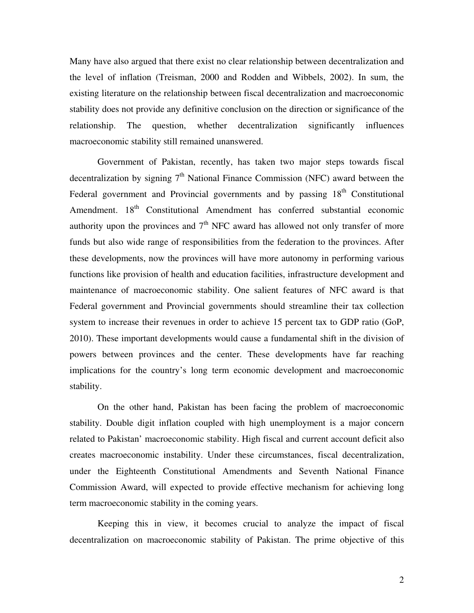Many have also argued that there exist no clear relationship between decentralization and the level of inflation (Treisman, 2000 and Rodden and Wibbels, 2002). In sum, the existing literature on the relationship between fiscal decentralization and macroeconomic stability does not provide any definitive conclusion on the direction or significance of the relationship. The question, whether decentralization significantly influences macroeconomic stability still remained unanswered.

Government of Pakistan, recently, has taken two major steps towards fiscal decentralization by signing  $7<sup>th</sup>$  National Finance Commission (NFC) award between the Federal government and Provincial governments and by passing  $18<sup>th</sup>$  Constitutional Amendment. 18<sup>th</sup> Constitutional Amendment has conferred substantial economic authority upon the provinces and  $7<sup>th</sup>$  NFC award has allowed not only transfer of more funds but also wide range of responsibilities from the federation to the provinces. After these developments, now the provinces will have more autonomy in performing various functions like provision of health and education facilities, infrastructure development and maintenance of macroeconomic stability. One salient features of NFC award is that Federal government and Provincial governments should streamline their tax collection system to increase their revenues in order to achieve 15 percent tax to GDP ratio (GoP, 2010). These important developments would cause a fundamental shift in the division of powers between provinces and the center. These developments have far reaching implications for the country's long term economic development and macroeconomic stability.

On the other hand, Pakistan has been facing the problem of macroeconomic stability. Double digit inflation coupled with high unemployment is a major concern related to Pakistan' macroeconomic stability. High fiscal and current account deficit also creates macroeconomic instability. Under these circumstances, fiscal decentralization, under the Eighteenth Constitutional Amendments and Seventh National Finance Commission Award, will expected to provide effective mechanism for achieving long term macroeconomic stability in the coming years.

Keeping this in view, it becomes crucial to analyze the impact of fiscal decentralization on macroeconomic stability of Pakistan. The prime objective of this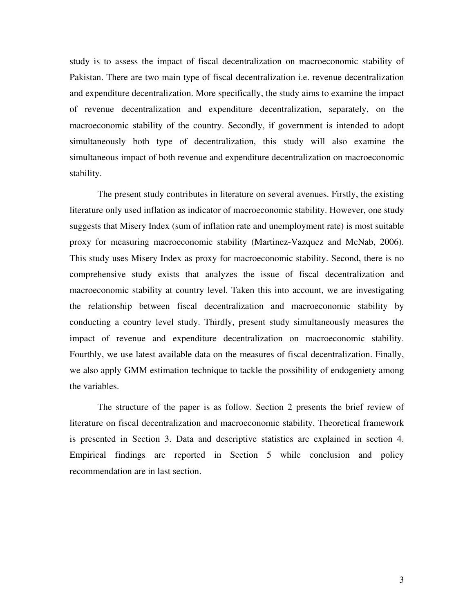study is to assess the impact of fiscal decentralization on macroeconomic stability of Pakistan. There are two main type of fiscal decentralization i.e. revenue decentralization and expenditure decentralization. More specifically, the study aims to examine the impact of revenue decentralization and expenditure decentralization, separately, on the macroeconomic stability of the country. Secondly, if government is intended to adopt simultaneously both type of decentralization, this study will also examine the simultaneous impact of both revenue and expenditure decentralization on macroeconomic stability.

The present study contributes in literature on several avenues. Firstly, the existing literature only used inflation as indicator of macroeconomic stability. However, one study suggests that Misery Index (sum of inflation rate and unemployment rate) is most suitable proxy for measuring macroeconomic stability (Martinez-Vazquez and McNab, 2006). This study uses Misery Index as proxy for macroeconomic stability. Second, there is no comprehensive study exists that analyzes the issue of fiscal decentralization and macroeconomic stability at country level. Taken this into account, we are investigating the relationship between fiscal decentralization and macroeconomic stability by conducting a country level study. Thirdly, present study simultaneously measures the impact of revenue and expenditure decentralization on macroeconomic stability. Fourthly, we use latest available data on the measures of fiscal decentralization. Finally, we also apply GMM estimation technique to tackle the possibility of endogeniety among the variables.

The structure of the paper is as follow. Section 2 presents the brief review of literature on fiscal decentralization and macroeconomic stability. Theoretical framework is presented in Section 3. Data and descriptive statistics are explained in section 4. Empirical findings are reported in Section 5 while conclusion and policy recommendation are in last section.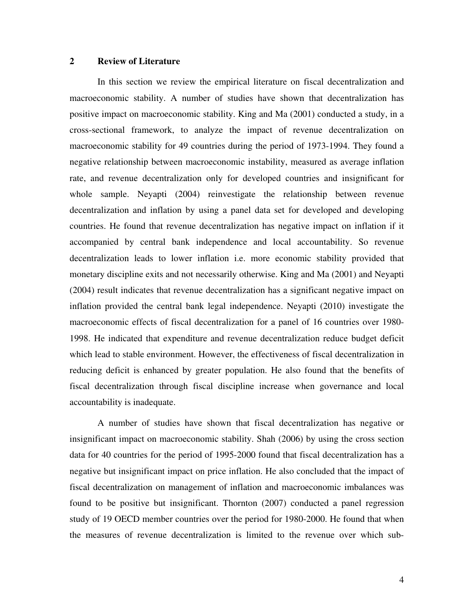#### **2 Review of Literature**

In this section we review the empirical literature on fiscal decentralization and macroeconomic stability. A number of studies have shown that decentralization has positive impact on macroeconomic stability. King and Ma (2001) conducted a study, in a cross-sectional framework, to analyze the impact of revenue decentralization on macroeconomic stability for 49 countries during the period of 1973-1994. They found a negative relationship between macroeconomic instability, measured as average inflation rate, and revenue decentralization only for developed countries and insignificant for whole sample. Neyapti (2004) reinvestigate the relationship between revenue decentralization and inflation by using a panel data set for developed and developing countries. He found that revenue decentralization has negative impact on inflation if it accompanied by central bank independence and local accountability. So revenue decentralization leads to lower inflation i.e. more economic stability provided that monetary discipline exits and not necessarily otherwise. King and Ma (2001) and Neyapti (2004) result indicates that revenue decentralization has a significant negative impact on inflation provided the central bank legal independence. Neyapti (2010) investigate the macroeconomic effects of fiscal decentralization for a panel of 16 countries over 1980- 1998. He indicated that expenditure and revenue decentralization reduce budget deficit which lead to stable environment. However, the effectiveness of fiscal decentralization in reducing deficit is enhanced by greater population. He also found that the benefits of fiscal decentralization through fiscal discipline increase when governance and local accountability is inadequate.

A number of studies have shown that fiscal decentralization has negative or insignificant impact on macroeconomic stability. Shah (2006) by using the cross section data for 40 countries for the period of 1995-2000 found that fiscal decentralization has a negative but insignificant impact on price inflation. He also concluded that the impact of fiscal decentralization on management of inflation and macroeconomic imbalances was found to be positive but insignificant. Thornton (2007) conducted a panel regression study of 19 OECD member countries over the period for 1980-2000. He found that when the measures of revenue decentralization is limited to the revenue over which sub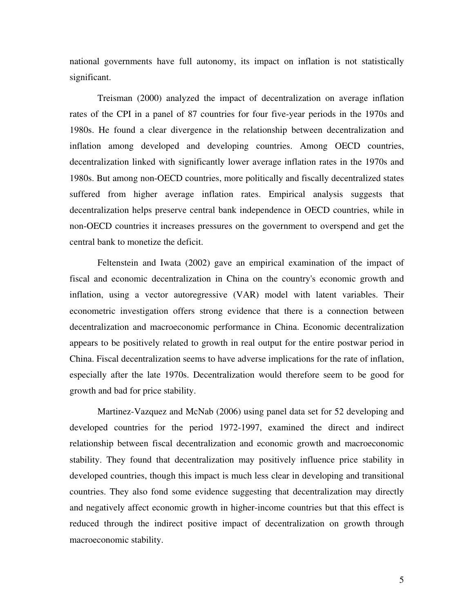national governments have full autonomy, its impact on inflation is not statistically significant.

Treisman (2000) analyzed the impact of decentralization on average inflation rates of the CPI in a panel of 87 countries for four five-year periods in the 1970s and 1980s. He found a clear divergence in the relationship between decentralization and inflation among developed and developing countries. Among OECD countries, decentralization linked with significantly lower average inflation rates in the 1970s and 1980s. But among non-OECD countries, more politically and fiscally decentralized states suffered from higher average inflation rates. Empirical analysis suggests that decentralization helps preserve central bank independence in OECD countries, while in non-OECD countries it increases pressures on the government to overspend and get the central bank to monetize the deficit.

Feltenstein and Iwata (2002) gave an empirical examination of the impact of fiscal and economic decentralization in China on the country's economic growth and inflation, using a vector autoregressive (VAR) model with latent variables. Their econometric investigation offers strong evidence that there is a connection between decentralization and macroeconomic performance in China. Economic decentralization appears to be positively related to growth in real output for the entire postwar period in China. Fiscal decentralization seems to have adverse implications for the rate of inflation, especially after the late 1970s. Decentralization would therefore seem to be good for growth and bad for price stability.

Martinez-Vazquez and McNab (2006) using panel data set for 52 developing and developed countries for the period 1972-1997, examined the direct and indirect relationship between fiscal decentralization and economic growth and macroeconomic stability. They found that decentralization may positively influence price stability in developed countries, though this impact is much less clear in developing and transitional countries. They also fond some evidence suggesting that decentralization may directly and negatively affect economic growth in higher-income countries but that this effect is reduced through the indirect positive impact of decentralization on growth through macroeconomic stability.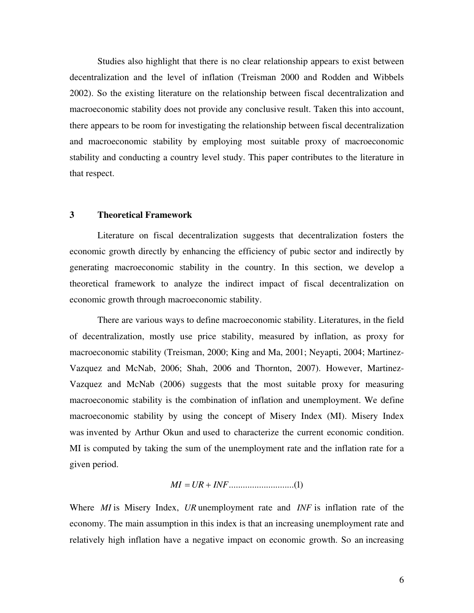Studies also highlight that there is no clear relationship appears to exist between decentralization and the level of inflation (Treisman 2000 and Rodden and Wibbels 2002). So the existing literature on the relationship between fiscal decentralization and macroeconomic stability does not provide any conclusive result. Taken this into account, there appears to be room for investigating the relationship between fiscal decentralization and macroeconomic stability by employing most suitable proxy of macroeconomic stability and conducting a country level study. This paper contributes to the literature in that respect.

#### **3 Theoretical Framework**

Literature on fiscal decentralization suggests that decentralization fosters the economic growth directly by enhancing the efficiency of pubic sector and indirectly by generating macroeconomic stability in the country. In this section, we develop a theoretical framework to analyze the indirect impact of fiscal decentralization on economic growth through macroeconomic stability.

There are various ways to define macroeconomic stability. Literatures, in the field of decentralization, mostly use price stability, measured by inflation, as proxy for macroeconomic stability (Treisman, 2000; King and Ma, 2001; Neyapti, 2004; Martinez-Vazquez and McNab, 2006; Shah, 2006 and Thornton, 2007). However, Martinez-Vazquez and McNab (2006) suggests that the most suitable proxy for measuring macroeconomic stability is the combination of inflation and unemployment. We define macroeconomic stability by using the concept of Misery Index (MI). Misery Index was invented by Arthur Okun and used to characterize the current economic condition. MI is computed by taking the sum of the unemployment rate and the inflation rate for a given period.

$$
MI = UR + INF \dots (1)
$$

Where *MI* is Misery Index, *UR* unemployment rate and *INF* is inflation rate of the economy. The main assumption in this index is that an increasing unemployment rate and relatively high inflation have a negative impact on economic growth. So an increasing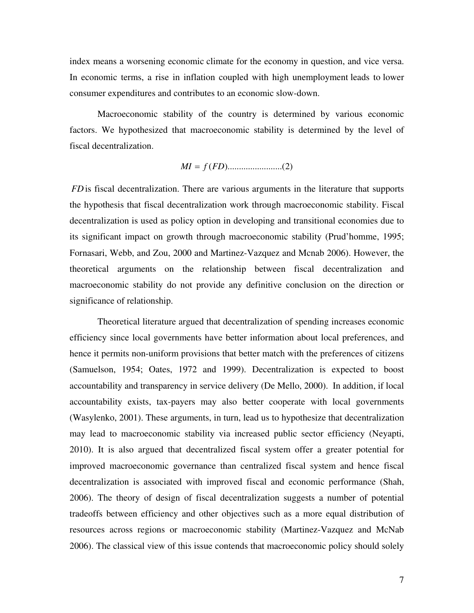index means a worsening economic climate for the economy in question, and vice versa. In economic terms, a rise in inflation coupled with high unemployment leads to lower consumer expenditures and contributes to an economic slow-down.

Macroeconomic stability of the country is determined by various economic factors. We hypothesized that macroeconomic stability is determined by the level of fiscal decentralization.

$$
MI = f(FD) \dots (2)
$$

*FD* is fiscal decentralization. There are various arguments in the literature that supports the hypothesis that fiscal decentralization work through macroeconomic stability. Fiscal decentralization is used as policy option in developing and transitional economies due to its significant impact on growth through macroeconomic stability (Prud'homme, 1995; Fornasari, Webb, and Zou, 2000 and Martinez-Vazquez and Mcnab 2006). However, the theoretical arguments on the relationship between fiscal decentralization and macroeconomic stability do not provide any definitive conclusion on the direction or significance of relationship.

Theoretical literature argued that decentralization of spending increases economic efficiency since local governments have better information about local preferences, and hence it permits non-uniform provisions that better match with the preferences of citizens (Samuelson, 1954; Oates, 1972 and 1999). Decentralization is expected to boost accountability and transparency in service delivery (De Mello, 2000). In addition, if local accountability exists, tax-payers may also better cooperate with local governments (Wasylenko, 2001). These arguments, in turn, lead us to hypothesize that decentralization may lead to macroeconomic stability via increased public sector efficiency (Neyapti, 2010). It is also argued that decentralized fiscal system offer a greater potential for improved macroeconomic governance than centralized fiscal system and hence fiscal decentralization is associated with improved fiscal and economic performance (Shah, 2006). The theory of design of fiscal decentralization suggests a number of potential tradeoffs between efficiency and other objectives such as a more equal distribution of resources across regions or macroeconomic stability (Martinez-Vazquez and McNab 2006). The classical view of this issue contends that macroeconomic policy should solely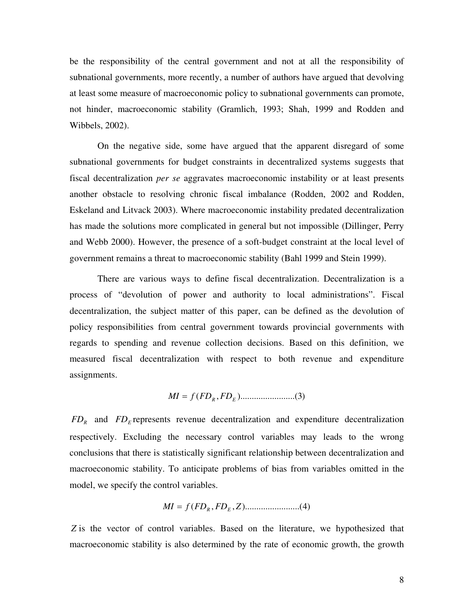be the responsibility of the central government and not at all the responsibility of subnational governments, more recently, a number of authors have argued that devolving at least some measure of macroeconomic policy to subnational governments can promote, not hinder, macroeconomic stability (Gramlich, 1993; Shah, 1999 and Rodden and Wibbels, 2002).

On the negative side, some have argued that the apparent disregard of some subnational governments for budget constraints in decentralized systems suggests that fiscal decentralization *per se* aggravates macroeconomic instability or at least presents another obstacle to resolving chronic fiscal imbalance (Rodden, 2002 and Rodden, Eskeland and Litvack 2003). Where macroeconomic instability predated decentralization has made the solutions more complicated in general but not impossible (Dillinger, Perry and Webb 2000). However, the presence of a soft-budget constraint at the local level of government remains a threat to macroeconomic stability (Bahl 1999 and Stein 1999).

There are various ways to define fiscal decentralization. Decentralization is a process of "devolution of power and authority to local administrations". Fiscal decentralization, the subject matter of this paper, can be defined as the devolution of policy responsibilities from central government towards provincial governments with regards to spending and revenue collection decisions. Based on this definition, we measured fiscal decentralization with respect to both revenue and expenditure assignments.

*MI* = *f* (*FD<sup>R</sup>* , *FD<sup>E</sup>* )........................( )3

 $FD_R$  and  $FD_E$  represents revenue decentralization and expenditure decentralization respectively. Excluding the necessary control variables may leads to the wrong conclusions that there is statistically significant relationship between decentralization and macroeconomic stability. To anticipate problems of bias from variables omitted in the model, we specify the control variables.

*MI* = *f* (*FD<sup>R</sup>* , *FD<sup>E</sup>* , *Z*)........................( )4

*Z* is the vector of control variables. Based on the literature, we hypothesized that macroeconomic stability is also determined by the rate of economic growth, the growth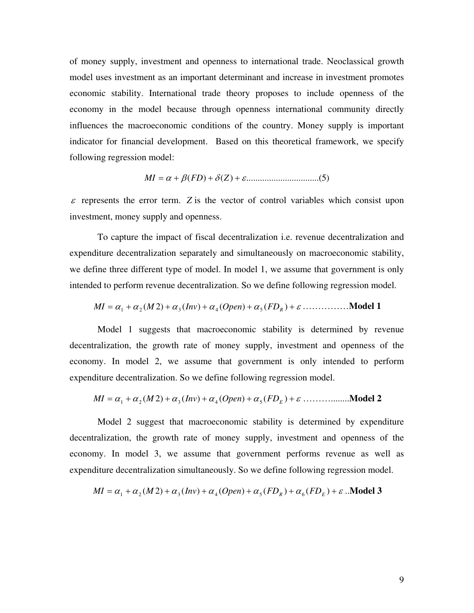of money supply, investment and openness to international trade. Neoclassical growth model uses investment as an important determinant and increase in investment promotes economic stability. International trade theory proposes to include openness of the economy in the model because through openness international community directly influences the macroeconomic conditions of the country. Money supply is important indicator for financial development. Based on this theoretical framework, we specify following regression model:

*MI* = <sup>α</sup> + β(*FD*) + <sup>δ</sup> *Z*)( + <sup>ε</sup>.............................. )5..(

 $\varepsilon$  represents the error term. *Z* is the vector of control variables which consist upon investment, money supply and openness.

To capture the impact of fiscal decentralization i.e. revenue decentralization and expenditure decentralization separately and simultaneously on macroeconomic stability, we define three different type of model. In model 1, we assume that government is only intended to perform revenue decentralization. So we define following regression model.

$$
MI = \alpha_1 + \alpha_2(M2) + \alpha_3(Inv) + \alpha_4(Open) + \alpha_5(FD_R) + \varepsilon \dots \dots \dots \dots \dots \text{Model 1}
$$

Model 1 suggests that macroeconomic stability is determined by revenue decentralization, the growth rate of money supply, investment and openness of the economy. In model 2, we assume that government is only intended to perform expenditure decentralization. So we define following regression model.

= <sup>α</sup> +<sup>α</sup> ( )2 +<sup>α</sup> ( ) +<sup>α</sup> ( ) +<sup>α</sup> ( ) + <sup>ε</sup> <sup>1</sup> <sup>2</sup> <sup>3</sup> <sup>4</sup> *Open* <sup>5</sup> *FD<sup>E</sup> MI M Inv* ………........**Model 2**

Model 2 suggest that macroeconomic stability is determined by expenditure decentralization, the growth rate of money supply, investment and openness of the economy. In model 3, we assume that government performs revenue as well as expenditure decentralization simultaneously. So we define following regression model.

$$
MI = \alpha_1 + \alpha_2(M2) + \alpha_3(Inv) + \alpha_4(Open) + \alpha_5(FD_R) + \alpha_6(FD_E) + \varepsilon
$$
 .**Model 3**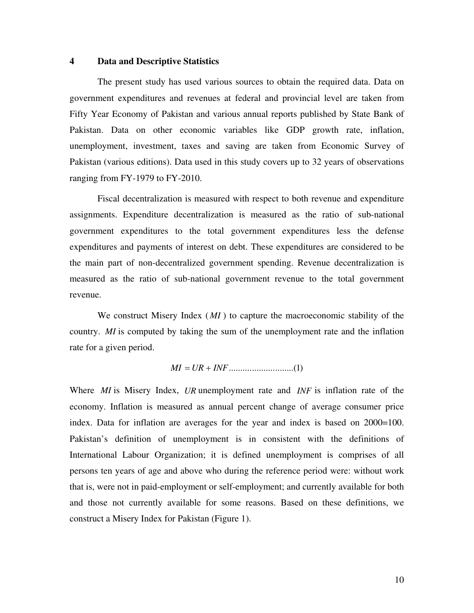#### **4 Data and Descriptive Statistics**

The present study has used various sources to obtain the required data. Data on government expenditures and revenues at federal and provincial level are taken from Fifty Year Economy of Pakistan and various annual reports published by State Bank of Pakistan. Data on other economic variables like GDP growth rate, inflation, unemployment, investment, taxes and saving are taken from Economic Survey of Pakistan (various editions). Data used in this study covers up to 32 years of observations ranging from FY-1979 to FY-2010.

Fiscal decentralization is measured with respect to both revenue and expenditure assignments. Expenditure decentralization is measured as the ratio of sub-national government expenditures to the total government expenditures less the defense expenditures and payments of interest on debt. These expenditures are considered to be the main part of non-decentralized government spending. Revenue decentralization is measured as the ratio of sub-national government revenue to the total government revenue.

We construct Misery Index (*MI*) to capture the macroeconomic stability of the country. *MI* is computed by taking the sum of the unemployment rate and the inflation rate for a given period.

$$
MI = UR + INF \dots (1)
$$

Where *MI* is Misery Index, *UR* unemployment rate and *INF* is inflation rate of the economy. Inflation is measured as annual percent change of average consumer price index. Data for inflation are averages for the year and index is based on 2000=100. Pakistan's definition of unemployment is in consistent with the definitions of International Labour Organization; it is defined unemployment is comprises of all persons ten years of age and above who during the reference period were: without work that is, were not in paid-employment or self-employment; and currently available for both and those not currently available for some reasons. Based on these definitions, we construct a Misery Index for Pakistan (Figure 1).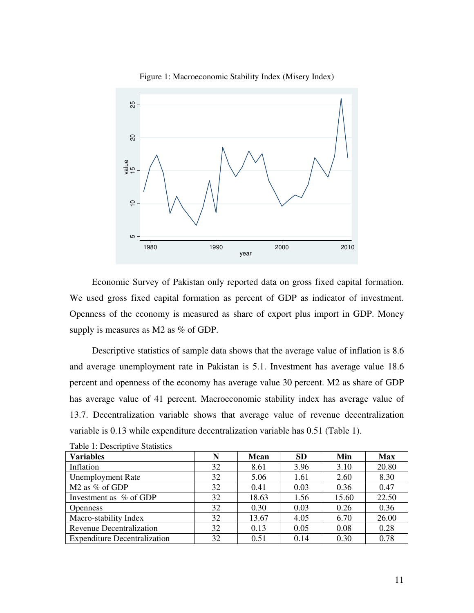



Economic Survey of Pakistan only reported data on gross fixed capital formation. We used gross fixed capital formation as percent of GDP as indicator of investment. Openness of the economy is measured as share of export plus import in GDP. Money supply is measures as M2 as % of GDP.

Descriptive statistics of sample data shows that the average value of inflation is 8.6 and average unemployment rate in Pakistan is 5.1. Investment has average value 18.6 percent and openness of the economy has average value 30 percent. M2 as share of GDP has average value of 41 percent. Macroeconomic stability index has average value of 13.7. Decentralization variable shows that average value of revenue decentralization variable is 0.13 while expenditure decentralization variable has 0.51 (Table 1).

| <b>Variables</b>                    | N  | <b>Mean</b> | <b>SD</b> | Min   | <b>Max</b> |
|-------------------------------------|----|-------------|-----------|-------|------------|
| Inflation                           | 32 | 8.61        | 3.96      | 3.10  | 20.80      |
| <b>Unemployment Rate</b>            | 32 | 5.06        | 1.61      | 2.60  | 8.30       |
| M <sub>2</sub> as % of GDP          | 32 | 0.41        | 0.03      | 0.36  | 0.47       |
| Investment as % of GDP              | 32 | 18.63       | 1.56      | 15.60 | 22.50      |
| <b>Openness</b>                     | 32 | 0.30        | 0.03      | 0.26  | 0.36       |
| Macro-stability Index               | 32 | 13.67       | 4.05      | 6.70  | 26.00      |
| <b>Revenue Decentralization</b>     | 32 | 0.13        | 0.05      | 0.08  | 0.28       |
| <b>Expenditure Decentralization</b> | 32 | 0.51        | 0.14      | 0.30  | 0.78       |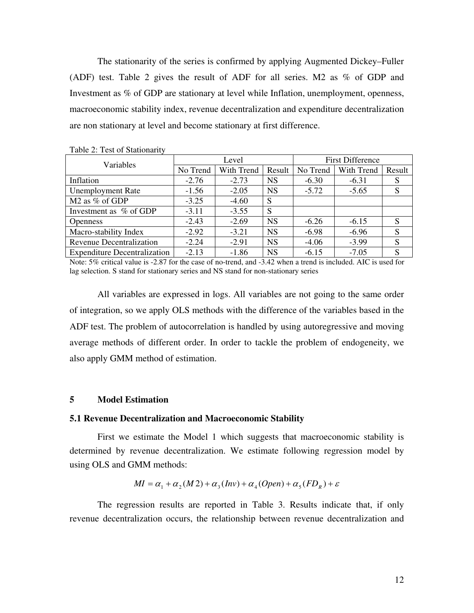The stationarity of the series is confirmed by applying Augmented Dickey–Fuller (ADF) test. Table 2 gives the result of ADF for all series. M2 as % of GDP and Investment as % of GDP are stationary at level while Inflation, unemployment, openness, macroeconomic stability index, revenue decentralization and expenditure decentralization are non stationary at level and become stationary at first difference.

| Variables                           | Level    |            |           | <b>First Difference</b> |            |        |
|-------------------------------------|----------|------------|-----------|-------------------------|------------|--------|
|                                     | No Trend | With Trend | Result    | No Trend                | With Trend | Result |
| Inflation                           | $-2.76$  | $-2.73$    | <b>NS</b> | $-6.30$                 | $-6.31$    | S      |
| <b>Unemployment Rate</b>            | $-1.56$  | $-2.05$    | <b>NS</b> | $-5.72$                 | $-5.65$    | S      |
| M <sub>2</sub> as % of GDP          | $-3.25$  | $-4.60$    | S         |                         |            |        |
| Investment as % of GDP              | $-3.11$  | $-3.55$    | S         |                         |            |        |
| <b>Openness</b>                     | $-2.43$  | $-2.69$    | <b>NS</b> | $-6.26$                 | $-6.15$    | S      |
| Macro-stability Index               | $-2.92$  | $-3.21$    | <b>NS</b> | $-6.98$                 | $-6.96$    | S      |
| <b>Revenue Decentralization</b>     | $-2.24$  | $-2.91$    | <b>NS</b> | $-4.06$                 | $-3.99$    | S      |
| <b>Expenditure Decentralization</b> | $-2.13$  | $-1.86$    | <b>NS</b> | $-6.15$                 | $-7.05$    | S      |

Table 2: Test of Stationarity

Note: 5% critical value is -2.87 for the case of no-trend, and -3.42 when a trend is included. AIC is used for lag selection. S stand for stationary series and NS stand for non-stationary series

All variables are expressed in logs. All variables are not going to the same order of integration, so we apply OLS methods with the difference of the variables based in the ADF test. The problem of autocorrelation is handled by using autoregressive and moving average methods of different order. In order to tackle the problem of endogeneity, we also apply GMM method of estimation.

#### **5 Model Estimation**

#### **5.1 Revenue Decentralization and Macroeconomic Stability**

First we estimate the Model 1 which suggests that macroeconomic stability is determined by revenue decentralization. We estimate following regression model by using OLS and GMM methods:

$$
MI = \alpha_1 + \alpha_2(M\,2) + \alpha_3(Inv) + \alpha_4(Open) + \alpha_5(FD_R) + \varepsilon
$$

The regression results are reported in Table 3. Results indicate that, if only revenue decentralization occurs, the relationship between revenue decentralization and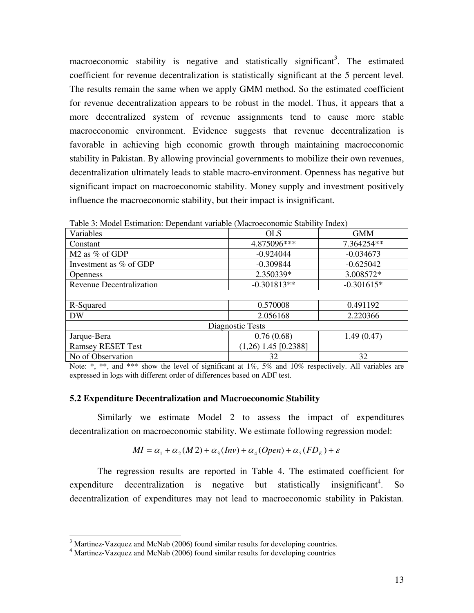macroeconomic stability is negative and statistically significant<sup>3</sup>. The estimated coefficient for revenue decentralization is statistically significant at the 5 percent level. The results remain the same when we apply GMM method. So the estimated coefficient for revenue decentralization appears to be robust in the model. Thus, it appears that a more decentralized system of revenue assignments tend to cause more stable macroeconomic environment. Evidence suggests that revenue decentralization is favorable in achieving high economic growth through maintaining macroeconomic stability in Pakistan. By allowing provincial governments to mobilize their own revenues, decentralization ultimately leads to stable macro-environment. Openness has negative but significant impact on macroeconomic stability. Money supply and investment positively influence the macroeconomic stability, but their impact is insignificant.

| Variables                | <b>OLS</b>             | <b>GMM</b>   |  |  |  |
|--------------------------|------------------------|--------------|--|--|--|
| Constant                 | 4.875096***            | 7.364254**   |  |  |  |
| M2 as % of GDP           | $-0.924044$            | $-0.034673$  |  |  |  |
| Investment as % of GDP   | $-0.309844$            | $-0.625042$  |  |  |  |
| <b>Openness</b>          | 2.350339*              | 3.008572*    |  |  |  |
| Revenue Decentralization | $-0.301813**$          | $-0.301615*$ |  |  |  |
|                          |                        |              |  |  |  |
| R-Squared                | 0.570008               | 0.491192     |  |  |  |
| <b>DW</b>                | 2.056168               | 2.220366     |  |  |  |
| Diagnostic Tests         |                        |              |  |  |  |
| Jarque-Bera              | 0.76(0.68)             | 1.49(0.47)   |  |  |  |
| <b>Ramsey RESET Test</b> | $(1,26)$ 1.45 [0.2388] |              |  |  |  |
| No of Observation        | 32<br>32               |              |  |  |  |

Table 3: Model Estimation: Dependant variable (Macroeconomic Stability Index)

Note: \*, \*\*, and \*\*\* show the level of significant at 1%, 5% and 10% respectively. All variables are expressed in logs with different order of differences based on ADF test.

#### **5.2 Expenditure Decentralization and Macroeconomic Stability**

Similarly we estimate Model 2 to assess the impact of expenditures decentralization on macroeconomic stability. We estimate following regression model:

$$
MI = \alpha_1 + \alpha_2(M2) + \alpha_3(Inv) + \alpha_4(Open) + \alpha_5(FD_E) + \varepsilon
$$

The regression results are reported in Table 4. The estimated coefficient for expenditure decentralization is negative but statistically insignificant<sup>4</sup>. So decentralization of expenditures may not lead to macroeconomic stability in Pakistan.

 $\overline{a}$ 

<sup>&</sup>lt;sup>3</sup> Martinez-Vazquez and McNab (2006) found similar results for developing countries.

<sup>&</sup>lt;sup>4</sup> Martinez-Vazquez and McNab (2006) found similar results for developing countries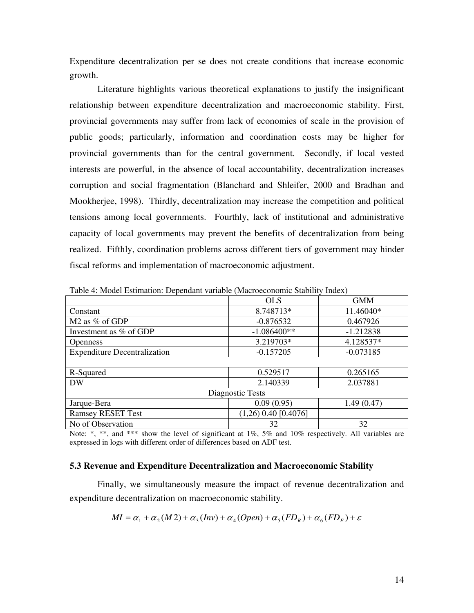Expenditure decentralization per se does not create conditions that increase economic growth.

 Literature highlights various theoretical explanations to justify the insignificant relationship between expenditure decentralization and macroeconomic stability. First, provincial governments may suffer from lack of economies of scale in the provision of public goods; particularly, information and coordination costs may be higher for provincial governments than for the central government. Secondly, if local vested interests are powerful, in the absence of local accountability, decentralization increases corruption and social fragmentation (Blanchard and Shleifer, 2000 and Bradhan and Mookherjee, 1998). Thirdly, decentralization may increase the competition and political tensions among local governments. Fourthly, lack of institutional and administrative capacity of local governments may prevent the benefits of decentralization from being realized. Fifthly, coordination problems across different tiers of government may hinder fiscal reforms and implementation of macroeconomic adjustment.

|                                     | <b>OLS</b>             | <b>GMM</b>  |  |  |  |
|-------------------------------------|------------------------|-------------|--|--|--|
| Constant                            | 8.748713*              | 11.46040*   |  |  |  |
| M <sub>2</sub> as % of GDP          | $-0.876532$            | 0.467926    |  |  |  |
| Investment as % of GDP              | $-1.086400**$          | $-1.212838$ |  |  |  |
| <b>Openness</b>                     | 3.219703*              | 4.128537*   |  |  |  |
| <b>Expenditure Decentralization</b> | $-0.157205$            | $-0.073185$ |  |  |  |
|                                     |                        |             |  |  |  |
| R-Squared                           | 0.529517               | 0.265165    |  |  |  |
| <b>DW</b>                           | 2.140339               | 2.037881    |  |  |  |
| Diagnostic Tests                    |                        |             |  |  |  |
| Jarque-Bera                         | 0.09(0.95)             | 1.49(0.47)  |  |  |  |
| <b>Ramsey RESET Test</b>            | $(1,26)$ 0.40 [0.4076] |             |  |  |  |
| No of Observation                   | 32                     | 32          |  |  |  |

Table 4: Model Estimation: Dependant variable (Macroeconomic Stability Index)

Note: \*, \*\*, and \*\*\* show the level of significant at  $1\%$ ,  $5\%$  and  $10\%$  respectively. All variables are expressed in logs with different order of differences based on ADF test.

#### **5.3 Revenue and Expenditure Decentralization and Macroeconomic Stability**

Finally, we simultaneously measure the impact of revenue decentralization and expenditure decentralization on macroeconomic stability.

$$
MI = \alpha_1 + \alpha_2(M2) + \alpha_3(Inv) + \alpha_4(Open) + \alpha_5(FD_R) + \alpha_6(FD_E) + \varepsilon
$$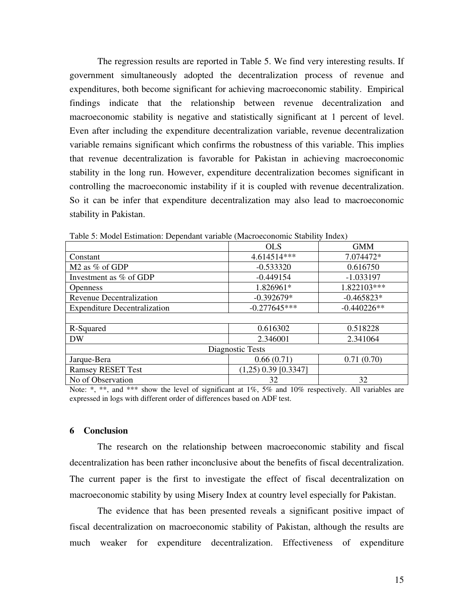The regression results are reported in Table 5. We find very interesting results. If government simultaneously adopted the decentralization process of revenue and expenditures, both become significant for achieving macroeconomic stability. Empirical findings indicate that the relationship between revenue decentralization and macroeconomic stability is negative and statistically significant at 1 percent of level. Even after including the expenditure decentralization variable, revenue decentralization variable remains significant which confirms the robustness of this variable. This implies that revenue decentralization is favorable for Pakistan in achieving macroeconomic stability in the long run. However, expenditure decentralization becomes significant in controlling the macroeconomic instability if it is coupled with revenue decentralization. So it can be infer that expenditure decentralization may also lead to macroeconomic stability in Pakistan.

|                                     | <b>OLS</b>             | <b>GMM</b>    |  |  |  |  |
|-------------------------------------|------------------------|---------------|--|--|--|--|
| Constant                            | 4.614514***            | 7.074472*     |  |  |  |  |
| M <sub>2</sub> as % of GDP          | $-0.533320$            | 0.616750      |  |  |  |  |
| Investment as % of GDP              | $-0.449154$            | $-1.033197$   |  |  |  |  |
| <b>Openness</b>                     | 1.826961*              | 1.822103***   |  |  |  |  |
| <b>Revenue Decentralization</b>     | $-0.392679*$           | $-0.465823*$  |  |  |  |  |
| <b>Expenditure Decentralization</b> | $-0.277645***$         | $-0.440226**$ |  |  |  |  |
|                                     |                        |               |  |  |  |  |
| R-Squared                           | 0.616302               | 0.518228      |  |  |  |  |
| DW                                  | 2.346001               | 2.341064      |  |  |  |  |
| Diagnostic Tests                    |                        |               |  |  |  |  |
| Jarque-Bera                         | 0.66(0.71)             | 0.71(0.70)    |  |  |  |  |
| <b>Ramsey RESET Test</b>            | $(1,25)$ 0.39 [0.3347] |               |  |  |  |  |
| No of Observation                   | 32                     | 32            |  |  |  |  |

Table 5: Model Estimation: Dependant variable (Macroeconomic Stability Index)

Note: \*, \*\*, and \*\*\* show the level of significant at  $1\%$ ,  $5\%$  and  $10\%$  respectively. All variables are expressed in logs with different order of differences based on ADF test.

#### **6 Conclusion**

The research on the relationship between macroeconomic stability and fiscal decentralization has been rather inconclusive about the benefits of fiscal decentralization. The current paper is the first to investigate the effect of fiscal decentralization on macroeconomic stability by using Misery Index at country level especially for Pakistan.

The evidence that has been presented reveals a significant positive impact of fiscal decentralization on macroeconomic stability of Pakistan, although the results are much weaker for expenditure decentralization. Effectiveness of expenditure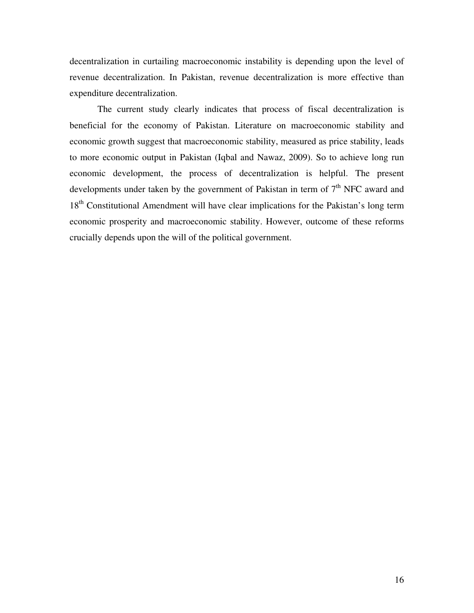decentralization in curtailing macroeconomic instability is depending upon the level of revenue decentralization. In Pakistan, revenue decentralization is more effective than expenditure decentralization.

The current study clearly indicates that process of fiscal decentralization is beneficial for the economy of Pakistan. Literature on macroeconomic stability and economic growth suggest that macroeconomic stability, measured as price stability, leads to more economic output in Pakistan (Iqbal and Nawaz, 2009). So to achieve long run economic development, the process of decentralization is helpful. The present developments under taken by the government of Pakistan in term of  $7<sup>th</sup>$  NFC award and 18<sup>th</sup> Constitutional Amendment will have clear implications for the Pakistan's long term economic prosperity and macroeconomic stability. However, outcome of these reforms crucially depends upon the will of the political government.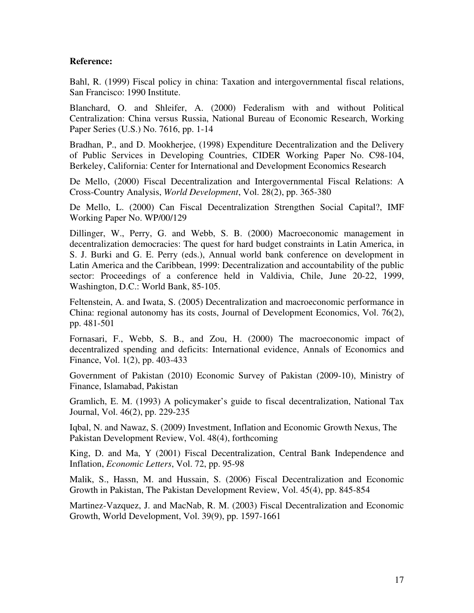#### **Reference:**

Bahl, R. (1999) Fiscal policy in china: Taxation and intergovernmental fiscal relations, San Francisco: 1990 Institute.

Blanchard, O. and Shleifer, A. (2000) Federalism with and without Political Centralization: China versus Russia, National Bureau of Economic Research, Working Paper Series (U.S.) No. 7616, pp. 1-14

Bradhan, P., and D. Mookherjee, (1998) Expenditure Decentralization and the Delivery of Public Services in Developing Countries, CIDER Working Paper No. C98-104, Berkeley, California: Center for International and Development Economics Research

De Mello, (2000) Fiscal Decentralization and Intergovernmental Fiscal Relations: A Cross-Country Analysis, *World Development*, Vol. 28(2), pp. 365-380

De Mello, L. (2000) Can Fiscal Decentralization Strengthen Social Capital?, IMF Working Paper No. WP/00/129

Dillinger, W., Perry, G. and Webb, S. B. (2000) Macroeconomic management in decentralization democracies: The quest for hard budget constraints in Latin America, in S. J. Burki and G. E. Perry (eds.), Annual world bank conference on development in Latin America and the Caribbean, 1999: Decentralization and accountability of the public sector: Proceedings of a conference held in Valdivia, Chile, June 20-22, 1999, Washington, D.C.: World Bank, 85-105.

Feltenstein, A. and Iwata, S. (2005) Decentralization and macroeconomic performance in China: regional autonomy has its costs, Journal of Development Economics, Vol. 76(2), pp. 481-501

Fornasari, F., Webb, S. B., and Zou, H. (2000) The macroeconomic impact of decentralized spending and deficits: International evidence, Annals of Economics and Finance, Vol. 1(2), pp. 403-433

Government of Pakistan (2010) Economic Survey of Pakistan (2009-10), Ministry of Finance, Islamabad, Pakistan

Gramlich, E. M. (1993) A policymaker's guide to fiscal decentralization, National Tax Journal, Vol. 46(2), pp. 229-235

Iqbal, N. and Nawaz, S. (2009) Investment, Inflation and Economic Growth Nexus, The Pakistan Development Review, Vol. 48(4), forthcoming

King, D. and Ma, Y (2001) Fiscal Decentralization, Central Bank Independence and Inflation, *Economic Letters*, Vol. 72, pp. 95-98

Malik, S., Hassn, M. and Hussain, S. (2006) Fiscal Decentralization and Economic Growth in Pakistan, The Pakistan Development Review, Vol. 45(4), pp. 845-854

Martinez-Vazquez, J. and MacNab, R. M. (2003) Fiscal Decentralization and Economic Growth, World Development, Vol. 39(9), pp. 1597-1661